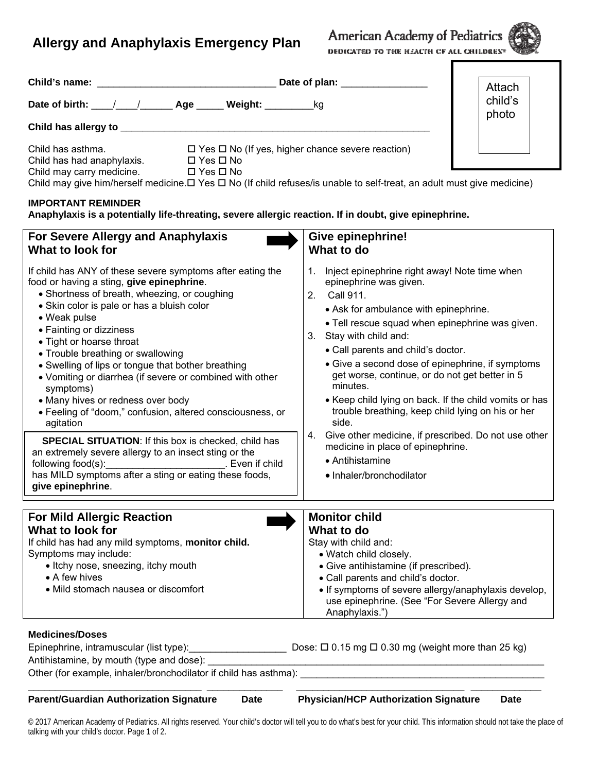## **Allergy and Anaphylaxis Emergency Plan**

American Academy of Pediatrics DEDICATED TO THE HEACTH OF ALL CHILDREN®

| Child's name: _________                                                                                                                                                             |                                                                                      | Attach           |  |  |
|-------------------------------------------------------------------------------------------------------------------------------------------------------------------------------------|--------------------------------------------------------------------------------------|------------------|--|--|
|                                                                                                                                                                                     | Date of birth: / / / Age Weight: / kg                                                | child's<br>photo |  |  |
| Child has allergy to __________                                                                                                                                                     |                                                                                      |                  |  |  |
| Child has asthma.<br>Child has had anaphylaxis.                                                                                                                                     | $\Box$ Yes $\Box$ No (If yes, higher chance severe reaction)<br>$\Box$ Yes $\Box$ No |                  |  |  |
| Child may carry medicine. $\Box$ Yes $\Box$ No<br>Child may give him/herself medicine. $\Box$ Yes $\Box$ No (If child refuses/is unable to self-treat, an adult must give medicine) |                                                                                      |                  |  |  |
| <b>IMPORTANT REMINDER</b>                                                                                                                                                           |                                                                                      |                  |  |  |

**Anaphylaxis is a potentially life-threating, severe allergic reaction. If in doubt, give epinephrine.** 

| For Severe Allergy and Anaphylaxis<br>What to look for                                                                                                                                                                                                                                                                                                                                                                                                                                                                                                                                                                         | <b>Give epinephrine!</b><br>What to do                                                                                                                                                                                                                                                                                                                                                                                                                                                                                                                                                                                                                 |  |
|--------------------------------------------------------------------------------------------------------------------------------------------------------------------------------------------------------------------------------------------------------------------------------------------------------------------------------------------------------------------------------------------------------------------------------------------------------------------------------------------------------------------------------------------------------------------------------------------------------------------------------|--------------------------------------------------------------------------------------------------------------------------------------------------------------------------------------------------------------------------------------------------------------------------------------------------------------------------------------------------------------------------------------------------------------------------------------------------------------------------------------------------------------------------------------------------------------------------------------------------------------------------------------------------------|--|
| If child has ANY of these severe symptoms after eating the<br>food or having a sting, give epinephrine.<br>• Shortness of breath, wheezing, or coughing<br>• Skin color is pale or has a bluish color<br>• Weak pulse<br>• Fainting or dizziness<br>• Tight or hoarse throat<br>• Trouble breathing or swallowing<br>• Swelling of lips or tongue that bother breathing<br>• Vomiting or diarrhea (if severe or combined with other<br>symptoms)<br>• Many hives or redness over body<br>• Feeling of "doom," confusion, altered consciousness, or<br>agitation<br><b>SPECIAL SITUATION:</b> If this box is checked, child has | Inject epinephrine right away! Note time when<br>1.<br>epinephrine was given.<br>Call 911.<br>2.<br>• Ask for ambulance with epinephrine.<br>. Tell rescue squad when epinephrine was given.<br>3. Stay with child and:<br>• Call parents and child's doctor.<br>• Give a second dose of epinephrine, if symptoms<br>get worse, continue, or do not get better in 5<br>minutes.<br>• Keep child lying on back. If the child vomits or has<br>trouble breathing, keep child lying on his or her<br>side.<br>4. Give other medicine, if prescribed. Do not use other<br>medicine in place of epinephrine.<br>• Antihistamine<br>· Inhaler/bronchodilator |  |
| an extremely severe allergy to an insect sting or the<br>following food(s):<br>has MILD symptoms after a sting or eating these foods,<br>give epinephrine.                                                                                                                                                                                                                                                                                                                                                                                                                                                                     |                                                                                                                                                                                                                                                                                                                                                                                                                                                                                                                                                                                                                                                        |  |
|                                                                                                                                                                                                                                                                                                                                                                                                                                                                                                                                                                                                                                |                                                                                                                                                                                                                                                                                                                                                                                                                                                                                                                                                                                                                                                        |  |
| <b>For Mild Allergic Reaction</b><br>What to look for<br>If child has had any mild symptoms, monitor child.<br>Symptoms may include:<br>• Itchy nose, sneezing, itchy mouth<br>• A few hives<br>• Mild stomach nausea or discomfort                                                                                                                                                                                                                                                                                                                                                                                            | <b>Monitor child</b><br>What to do<br>Stay with child and:<br>• Watch child closely.<br>• Give antihistamine (if prescribed).<br>• Call parents and child's doctor.<br>• If symptoms of severe allergy/anaphylaxis develop,<br>use epinephrine. (See "For Severe Allergy and<br>Anaphylaxis.")                                                                                                                                                                                                                                                                                                                                                         |  |
| <b>Medicines/Doses</b><br>Epinephrine, intramuscular (list type): Dose: □ 0.15 mg □ 0.30 mg (weight more than 25 kg)<br>Antihistamine, by mouth (type and dose):<br>Other (for example, inhaler/bronchodilator if child has asthma):                                                                                                                                                                                                                                                                                                                                                                                           |                                                                                                                                                                                                                                                                                                                                                                                                                                                                                                                                                                                                                                                        |  |
|                                                                                                                                                                                                                                                                                                                                                                                                                                                                                                                                                                                                                                |                                                                                                                                                                                                                                                                                                                                                                                                                                                                                                                                                                                                                                                        |  |

## **Parent/Guardian Authorization Signature Date Physician/HCP Authorization Signature Date**

© 2017 American Academy of Pediatrics. All rights reserved. Your child's doctor will tell you to do what's best for your child. This information should not take the place of talking with your child's doctor. Page 1 of 2.